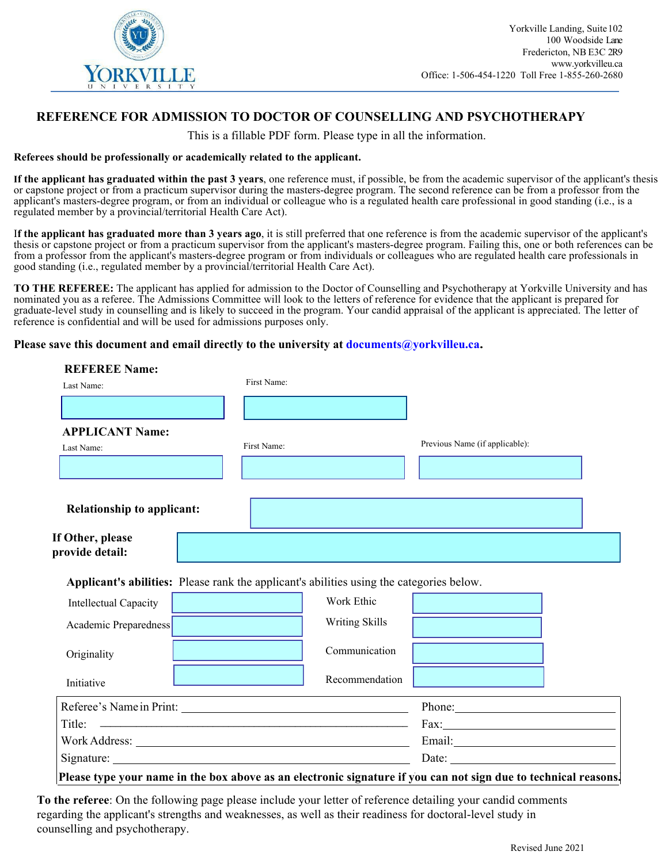

## **REFERENCE FOR ADMISSION TO DOCTOR OF COUNSELLING AND PSYCHOTHERAPY**

This is a fillable PDF form. Please type in all the information.

## **Referees should be professionally or academically related to the applicant.**

**If the applicant has graduated within the past 3 years**, one reference must, if possible, be from the academic supervisor of the applicant's thesis or capstone project or from a practicum supervisor during the masters-degree program. The second reference can be from a professor from the applicant's masters-degree program, or from an individual or colleague who is a regulated health care professional in good standing (i.e., is a regulated member by a provincial/territorial Health Care Act).

I**f the applicant has graduated more than 3 years ago**, it is still preferred that one reference is from the academic supervisor of the applicant's thesis or capstone project or from a practicum supervisor from the applicant's masters-degree program. Failing this, one or both references can be from a professor from the applicant's masters-degree program or from individuals or colleagues who are regulated health care professionals in good standing (i.e., regulated member by a provincial/territorial Health Care Act).

**TO THE REFEREE:** The applicant has applied for admission to the Doctor of Counselling and Psychotherapy at Yorkville University and has nominated you as a referee. The Admissions Committee will look to the letters of reference for evidence that the applicant is prepared for graduate-level study in counselling and is likely to succeed in the program. Your candid appraisal of the applicant is appreciated. The letter of reference is confidential and will be used for admissions purposes only.

## **Please save this document and email directly to the university at documents@yorkvilleu.ca.**

| <b>REFEREE Name:</b>                |                                                                                          |                |                                |
|-------------------------------------|------------------------------------------------------------------------------------------|----------------|--------------------------------|
| Last Name:                          | First Name:                                                                              |                |                                |
|                                     |                                                                                          |                |                                |
| <b>APPLICANT Name:</b>              |                                                                                          |                |                                |
| Last Name:                          | First Name:                                                                              |                | Previous Name (if applicable): |
|                                     |                                                                                          |                |                                |
| <b>Relationship to applicant:</b>   |                                                                                          |                |                                |
| If Other, please<br>provide detail: |                                                                                          |                |                                |
|                                     | Applicant's abilities: Please rank the applicant's abilities using the categories below. |                |                                |
| Intellectual Capacity               |                                                                                          | Work Ethic     |                                |
| Academic Preparedness               |                                                                                          | Writing Skills |                                |
|                                     |                                                                                          |                |                                |
| Originality                         |                                                                                          | Communication  |                                |
| Initiative                          |                                                                                          | Recommendation |                                |
|                                     |                                                                                          |                |                                |
|                                     | Referee's Name in Print:                                                                 |                | Phone:<br>Fax:                 |
|                                     |                                                                                          |                |                                |

**To the referee**: On the following page please include your letter of reference detailing your candid comments regarding the applicant's strengths and weaknesses, as well as their readiness for doctoral-level study in counselling and psychotherapy.